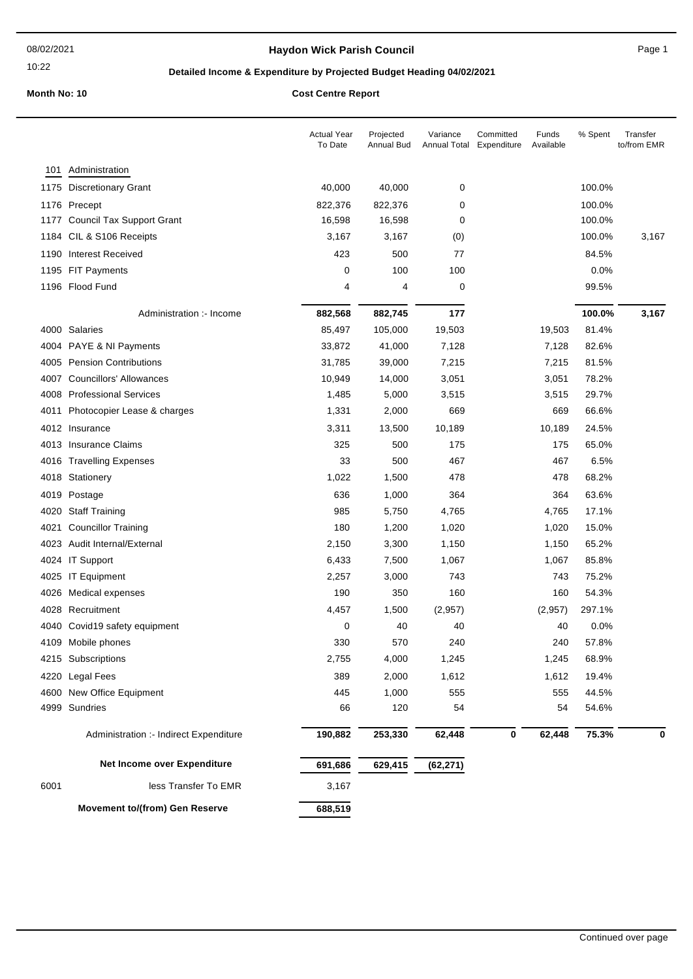### 10:22

## **Haydon Wick Parish Council Canadian Council** Page 1

## **Detailed Income & Expenditure by Projected Budget Heading 04/02/2021**

|      |                                        | <b>Actual Year</b><br>To Date | Projected<br>Annual Bud | Variance<br><b>Annual Total</b> | Committed<br>Expenditure | Funds<br>Available | % Spent | Transfer<br>to/from EMR |
|------|----------------------------------------|-------------------------------|-------------------------|---------------------------------|--------------------------|--------------------|---------|-------------------------|
| 101  | Administration                         |                               |                         |                                 |                          |                    |         |                         |
| 1175 | <b>Discretionary Grant</b>             | 40,000                        | 40,000                  | 0                               |                          |                    | 100.0%  |                         |
|      | 1176 Precept                           | 822,376                       | 822,376                 | 0                               |                          |                    | 100.0%  |                         |
|      | 1177 Council Tax Support Grant         | 16,598                        | 16,598                  | 0                               |                          |                    | 100.0%  |                         |
|      | 1184 CIL & S106 Receipts               | 3,167                         | 3,167                   | (0)                             |                          |                    | 100.0%  | 3,167                   |
|      | 1190 Interest Received                 | 423                           | 500                     | 77                              |                          |                    | 84.5%   |                         |
|      | 1195 FIT Payments                      | 0                             | 100                     | 100                             |                          |                    | 0.0%    |                         |
|      | 1196 Flood Fund                        | 4                             | 4                       | 0                               |                          |                    | 99.5%   |                         |
|      | Administration :- Income               | 882,568                       | 882,745                 | 177                             |                          |                    | 100.0%  | 3,167                   |
|      | 4000 Salaries                          | 85,497                        | 105,000                 | 19,503                          |                          | 19,503             | 81.4%   |                         |
|      | 4004 PAYE & NI Payments                | 33,872                        | 41,000                  | 7,128                           |                          | 7,128              | 82.6%   |                         |
| 4005 | <b>Pension Contributions</b>           | 31,785                        | 39,000                  | 7,215                           |                          | 7,215              | 81.5%   |                         |
| 4007 | <b>Councillors' Allowances</b>         | 10,949                        | 14,000                  | 3,051                           |                          | 3,051              | 78.2%   |                         |
|      | 4008 Professional Services             | 1,485                         | 5,000                   | 3,515                           |                          | 3,515              | 29.7%   |                         |
| 4011 | Photocopier Lease & charges            | 1,331                         | 2,000                   | 669                             |                          | 669                | 66.6%   |                         |
|      | 4012 Insurance                         | 3,311                         | 13,500                  | 10,189                          |                          | 10,189             | 24.5%   |                         |
|      | 4013 Insurance Claims                  | 325                           | 500                     | 175                             |                          | 175                | 65.0%   |                         |
|      | 4016 Travelling Expenses               | 33                            | 500                     | 467                             |                          | 467                | 6.5%    |                         |
|      | 4018 Stationery                        | 1,022                         | 1,500                   | 478                             |                          | 478                | 68.2%   |                         |
| 4019 | Postage                                | 636                           | 1,000                   | 364                             |                          | 364                | 63.6%   |                         |
| 4020 | <b>Staff Training</b>                  | 985                           | 5,750                   | 4,765                           |                          | 4,765              | 17.1%   |                         |
| 4021 | <b>Councillor Training</b>             | 180                           | 1,200                   | 1,020                           |                          | 1,020              | 15.0%   |                         |
|      | 4023 Audit Internal/External           | 2,150                         | 3,300                   | 1,150                           |                          | 1,150              | 65.2%   |                         |
|      | 4024 IT Support                        | 6,433                         | 7,500                   | 1,067                           |                          | 1,067              | 85.8%   |                         |
|      | 4025 IT Equipment                      | 2,257                         | 3,000                   | 743                             |                          | 743                | 75.2%   |                         |
|      | 4026 Medical expenses                  | 190                           | 350                     | 160                             |                          | 160                | 54.3%   |                         |
|      | 4028 Recruitment                       | 4,457                         | 1,500                   | (2,957)                         |                          | (2,957)            | 297.1%  |                         |
| 4040 | Covid19 safety equipment               | 0                             | 40                      | 40                              |                          | 40                 | 0.0%    |                         |
|      | 4109 Mobile phones                     | 330                           | 570                     | 240                             |                          | 240                | 57.8%   |                         |
|      | 4215 Subscriptions                     | 2,755                         | 4,000                   | 1,245                           |                          | 1,245              | 68.9%   |                         |
|      | 4220 Legal Fees                        | 389                           | 2,000                   | 1,612                           |                          | 1,612              | 19.4%   |                         |
|      | 4600 New Office Equipment              | 445                           | 1,000                   | 555                             |                          | 555                | 44.5%   |                         |
|      | 4999 Sundries                          | 66                            | 120                     | 54                              |                          | 54                 | 54.6%   |                         |
|      | Administration :- Indirect Expenditure | 190,882                       | 253,330                 | 62,448                          | 0                        | 62,448             | 75.3%   | 0                       |
|      | Net Income over Expenditure            | 691,686                       | 629,415                 | (62, 271)                       |                          |                    |         |                         |
| 6001 | less Transfer To EMR                   | 3,167                         |                         |                                 |                          |                    |         |                         |
|      | <b>Movement to/(from) Gen Reserve</b>  | 688,519                       |                         |                                 |                          |                    |         |                         |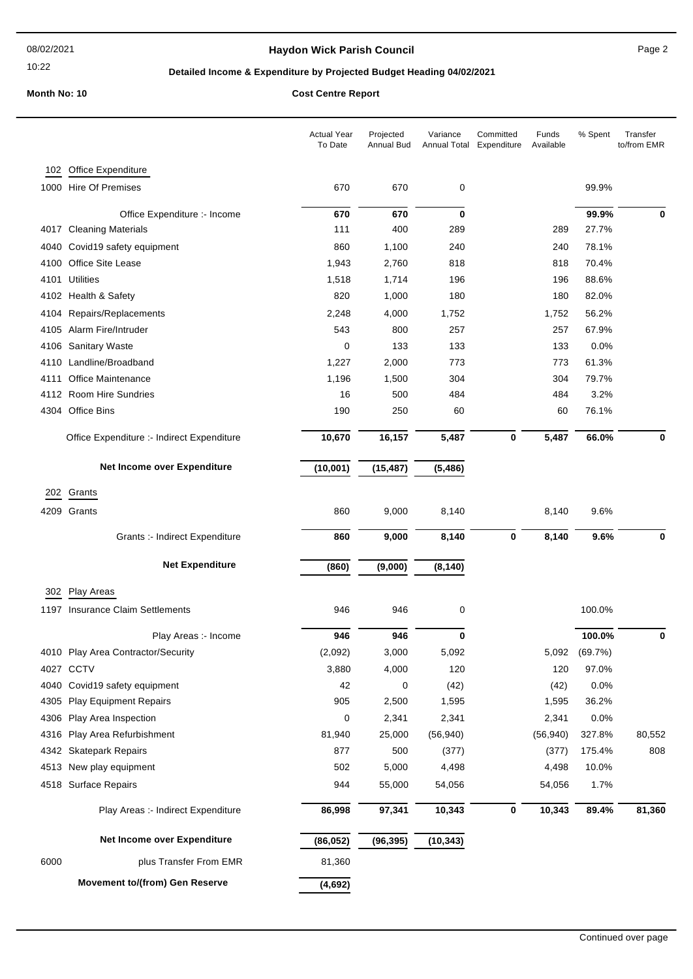### 10:22

## **Haydon Wick Parish Council Example 2** Page 2

## **Detailed Income & Expenditure by Projected Budget Heading 04/02/2021**

|      |                                            | <b>Actual Year</b><br>To Date | Projected<br>Annual Bud | Variance<br>Annual Total | Committed<br>Expenditure | Funds<br>Available | % Spent       | Transfer<br>to/from EMR |
|------|--------------------------------------------|-------------------------------|-------------------------|--------------------------|--------------------------|--------------------|---------------|-------------------------|
| 102  | <b>Office Expenditure</b>                  |                               |                         |                          |                          |                    |               |                         |
|      | 1000 Hire Of Premises                      | 670                           | 670                     | 0                        |                          |                    | 99.9%         |                         |
|      |                                            |                               |                         |                          |                          |                    |               |                         |
|      | Office Expenditure :- Income               | 670                           | 670                     | 0                        |                          |                    | 99.9%         | 0                       |
|      | 4017 Cleaning Materials                    | 111                           | 400                     | 289                      |                          | 289                | 27.7%         |                         |
| 4040 | Covid19 safety equipment                   | 860                           | 1,100                   | 240                      |                          | 240                | 78.1%         |                         |
| 4100 | Office Site Lease                          | 1,943                         | 2,760                   | 818                      |                          | 818                | 70.4%         |                         |
|      | 4101 Utilities                             | 1,518                         | 1,714                   | 196                      |                          | 196                | 88.6%         |                         |
|      | 4102 Health & Safety                       | 820                           | 1,000                   | 180                      |                          | 180                | 82.0%         |                         |
| 4104 | Repairs/Replacements                       | 2,248                         | 4,000                   | 1,752                    |                          | 1,752              | 56.2%         |                         |
| 4105 | Alarm Fire/Intruder                        | 543                           | 800                     | 257                      |                          | 257                | 67.9%         |                         |
| 4106 | <b>Sanitary Waste</b>                      | 0                             | 133                     | 133                      |                          | 133                | 0.0%          |                         |
| 4110 | Landline/Broadband                         | 1,227                         | 2,000                   | 773                      |                          | 773                | 61.3%         |                         |
| 4111 | Office Maintenance                         | 1,196                         | 1,500                   | 304                      |                          | 304                | 79.7%         |                         |
|      | 4112 Room Hire Sundries                    | 16                            | 500                     | 484                      |                          | 484                | 3.2%          |                         |
|      | 4304 Office Bins                           | 190                           | 250                     | 60                       |                          | 60                 | 76.1%         |                         |
|      | Office Expenditure :- Indirect Expenditure | 10,670                        | 16,157                  | 5,487                    | $\bf{0}$                 | 5,487              | 66.0%         | 0                       |
|      | Net Income over Expenditure                | (10,001)                      | (15, 487)               | (5, 486)                 |                          |                    |               |                         |
|      | Grants                                     |                               |                         |                          |                          |                    |               |                         |
| 202  |                                            |                               |                         |                          |                          |                    |               |                         |
|      | 4209 Grants                                | 860                           | 9,000                   | 8,140                    |                          | 8,140              | 9.6%          |                         |
|      | Grants :- Indirect Expenditure             | 860                           | 9,000                   | 8,140                    | $\bf{0}$                 | 8,140              | 9.6%          | 0                       |
|      | <b>Net Expenditure</b>                     | (860)                         | (9,000)                 | (8, 140)                 |                          |                    |               |                         |
| 302  | Play Areas                                 |                               |                         |                          |                          |                    |               |                         |
| 1197 | Insurance Claim Settlements                | 946                           | 946                     | 0                        |                          |                    | 100.0%        |                         |
|      | Play Areas :- Income                       | 946                           | 946                     | $\bf{0}$                 |                          |                    | 100.0%        | $\mathbf 0$             |
|      | 4010 Play Area Contractor/Security         | (2,092)                       | 3,000                   | 5,092                    |                          |                    | 5,092 (69.7%) |                         |
|      | 4027 CCTV                                  | 3,880                         | 4,000                   | 120                      |                          | 120                | 97.0%         |                         |
|      | 4040 Covid19 safety equipment              | 42                            | 0                       | (42)                     |                          | (42)               | 0.0%          |                         |
|      | 4305 Play Equipment Repairs                | 905                           | 2,500                   | 1,595                    |                          | 1,595              | 36.2%         |                         |
|      | 4306 Play Area Inspection                  | 0                             | 2,341                   | 2,341                    |                          | 2,341              | 0.0%          |                         |
| 4316 | Play Area Refurbishment                    | 81,940                        | 25,000                  | (56, 940)                |                          | (56, 940)          | 327.8%        | 80,552                  |
|      | 4342 Skatepark Repairs                     | 877                           | 500                     | (377)                    |                          | (377)              | 175.4%        | 808                     |
|      | 4513 New play equipment                    | 502                           | 5,000                   | 4,498                    |                          | 4,498              | 10.0%         |                         |
|      | 4518 Surface Repairs                       | 944                           | 55,000                  | 54,056                   |                          | 54,056             | 1.7%          |                         |
|      | Play Areas :- Indirect Expenditure         | 86,998                        | 97,341                  | 10,343                   | $\bf{0}$                 | 10,343             | 89.4%         | 81,360                  |
|      | Net Income over Expenditure                | (86, 052)                     | (96, 395)               | (10, 343)                |                          |                    |               |                         |
| 6000 | plus Transfer From EMR                     | 81,360                        |                         |                          |                          |                    |               |                         |
|      | <b>Movement to/(from) Gen Reserve</b>      | (4, 692)                      |                         |                          |                          |                    |               |                         |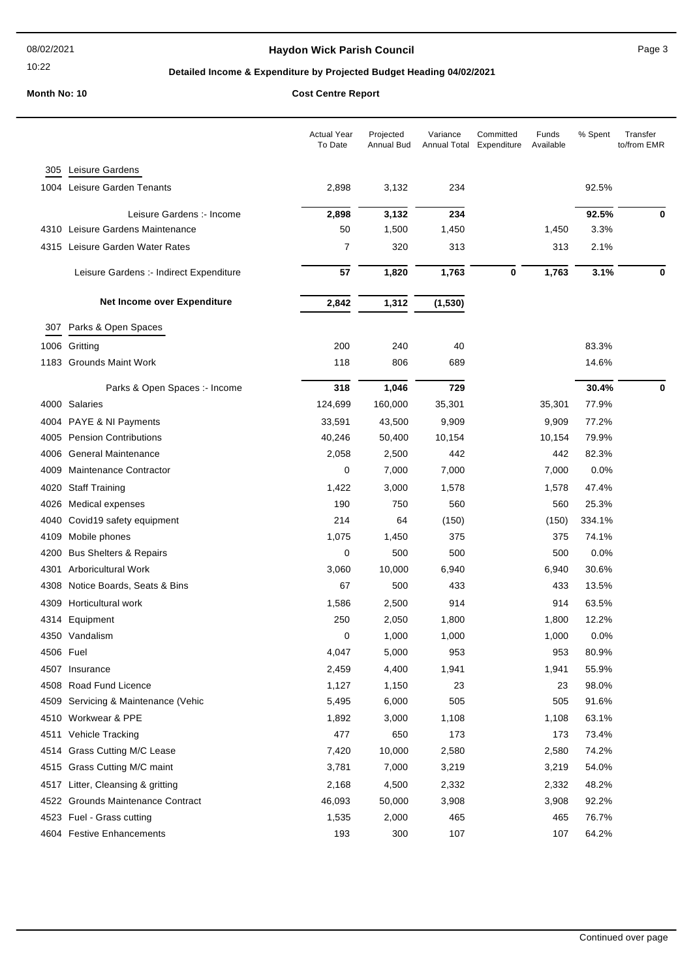### 10:22

## Haydon Wick Parish Council **All Accord 2012 12:33 Page 3**

## **Detailed Income & Expenditure by Projected Budget Heading 04/02/2021**

|           |                                         | <b>Actual Year</b><br>To Date | Projected<br><b>Annual Bud</b> | Variance<br>Annual Total | Committed<br>Expenditure | Funds<br>Available | % Spent | Transfer<br>to/from EMR |
|-----------|-----------------------------------------|-------------------------------|--------------------------------|--------------------------|--------------------------|--------------------|---------|-------------------------|
| 305       | Leisure Gardens                         |                               |                                |                          |                          |                    |         |                         |
| 1004      | Leisure Garden Tenants                  | 2,898                         | 3,132                          | 234                      |                          |                    | 92.5%   |                         |
|           | Leisure Gardens :- Income               | 2,898                         | 3,132                          | 234                      |                          |                    | 92.5%   | 0                       |
|           | 4310 Leisure Gardens Maintenance        | 50                            | 1,500                          | 1,450                    |                          | 1,450              | 3.3%    |                         |
| 4315      | Leisure Garden Water Rates              | 7                             | 320                            | 313                      |                          | 313                | 2.1%    |                         |
|           | Leisure Gardens :- Indirect Expenditure | 57                            | 1,820                          | 1,763                    | 0                        | 1,763              | 3.1%    | 0                       |
|           | Net Income over Expenditure             | 2,842                         | 1,312                          | (1, 530)                 |                          |                    |         |                         |
| 307       | Parks & Open Spaces                     |                               |                                |                          |                          |                    |         |                         |
|           | 1006 Gritting                           | 200                           | 240                            | 40                       |                          |                    | 83.3%   |                         |
| 1183      | <b>Grounds Maint Work</b>               | 118                           | 806                            | 689                      |                          |                    | 14.6%   |                         |
|           | Parks & Open Spaces :- Income           | 318                           | 1,046                          | 729                      |                          |                    | 30.4%   | 0                       |
|           | 4000 Salaries                           | 124,699                       | 160,000                        | 35,301                   |                          | 35,301             | 77.9%   |                         |
|           | 4004 PAYE & NI Payments                 | 33,591                        | 43,500                         | 9,909                    |                          | 9,909              | 77.2%   |                         |
|           | 4005 Pension Contributions              | 40,246                        | 50,400                         | 10,154                   |                          | 10,154             | 79.9%   |                         |
| 4006      | <b>General Maintenance</b>              | 2,058                         | 2,500                          | 442                      |                          | 442                | 82.3%   |                         |
| 4009      | Maintenance Contractor                  | 0                             | 7,000                          | 7,000                    |                          | 7,000              | 0.0%    |                         |
| 4020      | <b>Staff Training</b>                   | 1,422                         | 3,000                          | 1,578                    |                          | 1,578              | 47.4%   |                         |
| 4026      | Medical expenses                        | 190                           | 750                            | 560                      |                          | 560                | 25.3%   |                         |
| 4040      | Covid19 safety equipment                | 214                           | 64                             | (150)                    |                          | (150)              | 334.1%  |                         |
| 4109      | Mobile phones                           | 1,075                         | 1,450                          | 375                      |                          | 375                | 74.1%   |                         |
| 4200      | <b>Bus Shelters &amp; Repairs</b>       | 0                             | 500                            | 500                      |                          | 500                | 0.0%    |                         |
| 4301      | <b>Arboricultural Work</b>              | 3,060                         | 10,000                         | 6,940                    |                          | 6,940              | 30.6%   |                         |
| 4308      | Notice Boards, Seats & Bins             | 67                            | 500                            | 433                      |                          | 433                | 13.5%   |                         |
| 4309      | Horticultural work                      | 1,586                         | 2,500                          | 914                      |                          | 914                | 63.5%   |                         |
| 4314      | Equipment                               | 250                           | 2,050                          | 1,800                    |                          | 1,800              | 12.2%   |                         |
|           | 4350 Vandalism                          | 0                             | 1,000                          | 1,000                    |                          | 1,000              | 0.0%    |                         |
| 4506 Fuel |                                         | 4,047                         | 5,000                          | 953                      |                          | 953                | 80.9%   |                         |
| 4507      | Insurance                               | 2,459                         | 4,400                          | 1,941                    |                          | 1,941              | 55.9%   |                         |
| 4508      | Road Fund Licence                       | 1,127                         | 1,150                          | 23                       |                          | 23                 | 98.0%   |                         |
| 4509      | Servicing & Maintenance (Vehic          | 5,495                         | 6,000                          | 505                      |                          | 505                | 91.6%   |                         |
| 4510      | Workwear & PPE                          | 1,892                         | 3,000                          | 1,108                    |                          | 1,108              | 63.1%   |                         |
| 4511      | Vehicle Tracking                        | 477                           | 650                            | 173                      |                          | 173                | 73.4%   |                         |
|           | 4514 Grass Cutting M/C Lease            | 7,420                         | 10,000                         | 2,580                    |                          | 2,580              | 74.2%   |                         |
| 4515      | Grass Cutting M/C maint                 | 3,781                         | 7,000                          | 3,219                    |                          | 3,219              | 54.0%   |                         |
|           | 4517 Litter, Cleansing & gritting       | 2,168                         | 4,500                          | 2,332                    |                          | 2,332              | 48.2%   |                         |
|           | 4522 Grounds Maintenance Contract       | 46,093                        | 50,000                         | 3,908                    |                          | 3,908              | 92.2%   |                         |
|           | 4523 Fuel - Grass cutting               | 1,535                         | 2,000                          | 465                      |                          | 465                | 76.7%   |                         |
|           | 4604 Festive Enhancements               | 193                           | 300                            | 107                      |                          | 107                | 64.2%   |                         |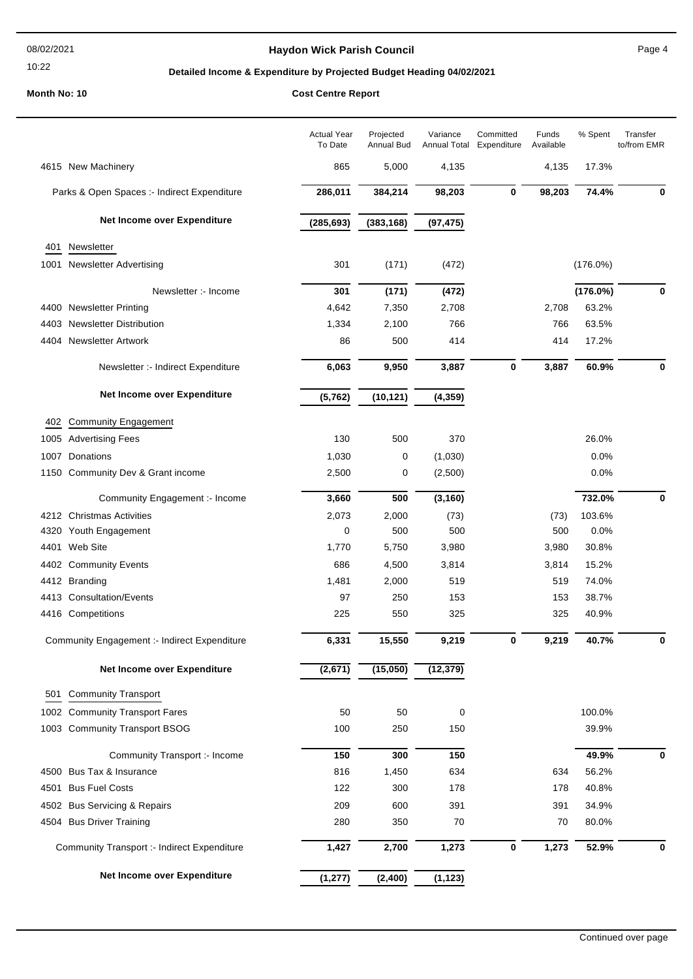### 10:22

## **Haydon Wick Parish Council Canadian Council** Page 4

## **Detailed Income & Expenditure by Projected Budget Heading 04/02/2021**

|      |                                                    | <b>Actual Year</b><br>To Date | Projected<br>Annual Bud | Variance<br>Annual Total | Committed<br>Expenditure | Funds<br>Available | % Spent     | Transfer<br>to/from EMR |
|------|----------------------------------------------------|-------------------------------|-------------------------|--------------------------|--------------------------|--------------------|-------------|-------------------------|
|      | 4615 New Machinery                                 | 865                           | 5,000                   | 4,135                    |                          | 4,135              | 17.3%       |                         |
|      | Parks & Open Spaces :- Indirect Expenditure        | 286,011                       | 384,214                 | 98,203                   | 0                        | 98,203             | 74.4%       | 0                       |
|      | Net Income over Expenditure                        | (285, 693)                    | (383, 168)              | (97, 475)                |                          |                    |             |                         |
| 401  | Newsletter                                         |                               |                         |                          |                          |                    |             |                         |
| 1001 | <b>Newsletter Advertising</b>                      | 301                           | (171)                   | (472)                    |                          |                    | $(176.0\%)$ |                         |
|      | Newsletter :- Income                               | 301                           | (171)                   | (472)                    |                          |                    | (176.0%)    | $\bf{0}$                |
|      | 4400 Newsletter Printing                           | 4,642                         | 7,350                   | 2,708                    |                          | 2,708              | 63.2%       |                         |
|      | 4403 Newsletter Distribution                       | 1,334                         | 2,100                   | 766                      |                          | 766                | 63.5%       |                         |
|      | 4404 Newsletter Artwork                            | 86                            | 500                     | 414                      |                          | 414                | 17.2%       |                         |
|      | Newsletter :- Indirect Expenditure                 | 6,063                         | 9,950                   | 3,887                    | 0                        | 3,887              | 60.9%       | $\bf{0}$                |
|      | Net Income over Expenditure                        | (5, 762)                      | (10, 121)               | (4, 359)                 |                          |                    |             |                         |
| 402  | <b>Community Engagement</b>                        |                               |                         |                          |                          |                    |             |                         |
|      | 1005 Advertising Fees                              | 130                           | 500                     | 370                      |                          |                    | 26.0%       |                         |
|      | 1007 Donations                                     | 1,030                         | 0                       | (1,030)                  |                          |                    | 0.0%        |                         |
|      | 1150 Community Dev & Grant income                  | 2,500                         | 0                       | (2,500)                  |                          |                    | 0.0%        |                         |
|      | Community Engagement :- Income                     | 3,660                         | 500                     | (3, 160)                 |                          |                    | 732.0%      | 0                       |
|      | 4212 Christmas Activities                          | 2,073                         | 2,000                   | (73)                     |                          | (73)               | 103.6%      |                         |
| 4320 | Youth Engagement                                   | 0                             | 500                     | 500                      |                          | 500                | 0.0%        |                         |
| 4401 | Web Site                                           | 1,770                         | 5,750                   | 3,980                    |                          | 3,980              | 30.8%       |                         |
|      | 4402 Community Events                              | 686                           | 4,500                   | 3,814                    |                          | 3,814              | 15.2%       |                         |
|      | 4412 Branding                                      | 1,481                         | 2,000                   | 519                      |                          | 519                | 74.0%       |                         |
|      | 4413 Consultation/Events                           | 97                            | 250                     | 153                      |                          | 153                | 38.7%       |                         |
|      | 4416 Competitions                                  | 225                           | 550                     | 325                      |                          | 325                | 40.9%       |                         |
|      | Community Engagement :- Indirect Expenditure       | 6,331                         | 15,550                  | 9,219                    | 0                        | 9,219              | 40.7%       | 0                       |
|      | Net Income over Expenditure                        | (2, 671)                      | (15,050)                | (12, 379)                |                          |                    |             |                         |
| 501  | <b>Community Transport</b>                         |                               |                         |                          |                          |                    |             |                         |
|      | 1002 Community Transport Fares                     | 50                            | 50                      | 0                        |                          |                    | 100.0%      |                         |
|      | 1003 Community Transport BSOG                      | 100                           | 250                     | 150                      |                          |                    | 39.9%       |                         |
|      | Community Transport :- Income                      | 150                           | 300                     | 150                      |                          |                    | 49.9%       | 0                       |
| 4500 | Bus Tax & Insurance                                | 816                           | 1,450                   | 634                      |                          | 634                | 56.2%       |                         |
| 4501 | <b>Bus Fuel Costs</b>                              | 122                           | 300                     | 178                      |                          | 178                | 40.8%       |                         |
| 4502 | <b>Bus Servicing &amp; Repairs</b>                 | 209                           | 600                     | 391                      |                          | 391                | 34.9%       |                         |
|      | 4504 Bus Driver Training                           | 280                           | 350                     | 70                       |                          | 70                 | 80.0%       |                         |
|      | <b>Community Transport :- Indirect Expenditure</b> | 1,427                         | 2,700                   | 1,273                    | $\bf{0}$                 | 1,273              | 52.9%       | 0                       |
|      | Net Income over Expenditure                        | (1, 277)                      | (2, 400)                | (1, 123)                 |                          |                    |             |                         |
|      |                                                    |                               |                         |                          |                          |                    |             |                         |